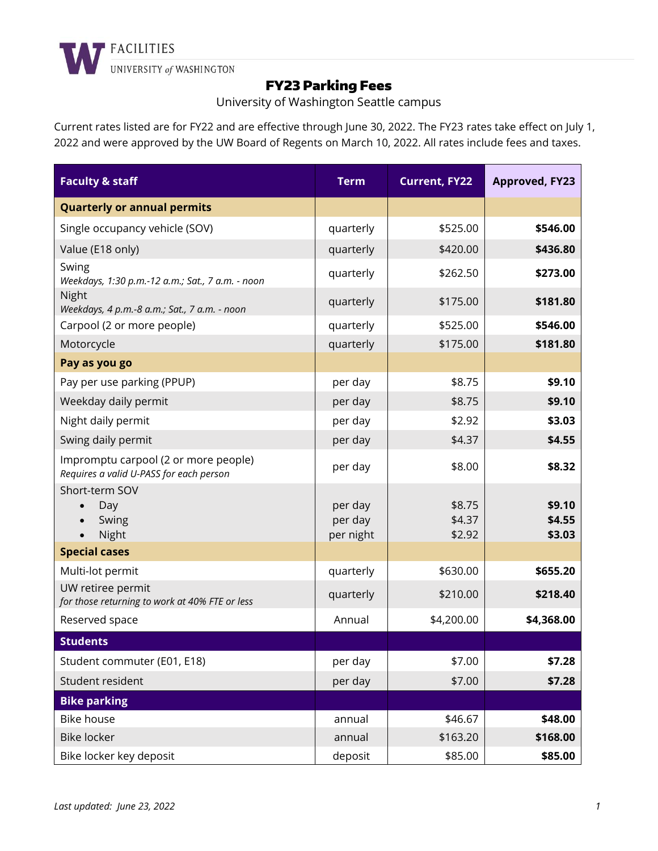

## FY23 Parking Fees

University of Washington Seattle campus

Current rates listed are for FY22 and are effective through June 30, 2022. The FY23 rates take effect on July 1, 2022 and were approved by the UW Board of Regents on March 10, 2022. All rates include fees and taxes.

| <b>Faculty &amp; staff</b>                                                      | <b>Term</b>                     | <b>Current, FY22</b>       | <b>Approved, FY23</b>      |
|---------------------------------------------------------------------------------|---------------------------------|----------------------------|----------------------------|
| <b>Quarterly or annual permits</b>                                              |                                 |                            |                            |
| Single occupancy vehicle (SOV)                                                  | quarterly                       | \$525.00                   | \$546.00                   |
| Value (E18 only)                                                                | quarterly                       | \$420.00                   | \$436.80                   |
| Swing<br>Weekdays, 1:30 p.m.-12 a.m.; Sat., 7 a.m. - noon                       | quarterly                       | \$262.50                   | \$273.00                   |
| Night<br>Weekdays, 4 p.m.-8 a.m.; Sat., 7 a.m. - noon                           | quarterly                       | \$175.00                   | \$181.80                   |
| Carpool (2 or more people)                                                      | quarterly                       | \$525.00                   | \$546.00                   |
| Motorcycle                                                                      | quarterly                       | \$175.00                   | \$181.80                   |
| Pay as you go                                                                   |                                 |                            |                            |
| Pay per use parking (PPUP)                                                      | per day                         | \$8.75                     | \$9.10                     |
| Weekday daily permit                                                            | per day                         | \$8.75                     | \$9.10                     |
| Night daily permit                                                              | per day                         | \$2.92                     | \$3.03                     |
| Swing daily permit                                                              | per day                         | \$4.37                     | \$4.55                     |
| Impromptu carpool (2 or more people)<br>Requires a valid U-PASS for each person | per day                         | \$8.00                     | \$8.32                     |
| Short-term SOV<br>Day<br>Swing<br>Night                                         | per day<br>per day<br>per night | \$8.75<br>\$4.37<br>\$2.92 | \$9.10<br>\$4.55<br>\$3.03 |
| <b>Special cases</b>                                                            |                                 |                            |                            |
| Multi-lot permit                                                                | quarterly                       | \$630.00                   | \$655.20                   |
| UW retiree permit<br>for those returning to work at 40% FTE or less             | quarterly                       | \$210.00                   | \$218.40                   |
| Reserved space                                                                  | Annual                          | \$4,200.00                 | \$4,368.00                 |
| <b>Students</b>                                                                 |                                 |                            |                            |
| Student commuter (E01, E18)                                                     | per day                         | \$7.00                     | \$7.28                     |
| Student resident                                                                | per day                         | \$7.00                     | \$7.28                     |
| <b>Bike parking</b>                                                             |                                 |                            |                            |
| <b>Bike house</b>                                                               | annual                          | \$46.67                    | \$48.00                    |
| <b>Bike locker</b>                                                              | annual                          | \$163.20                   | \$168.00                   |
| Bike locker key deposit                                                         | deposit                         | \$85.00                    | \$85.00                    |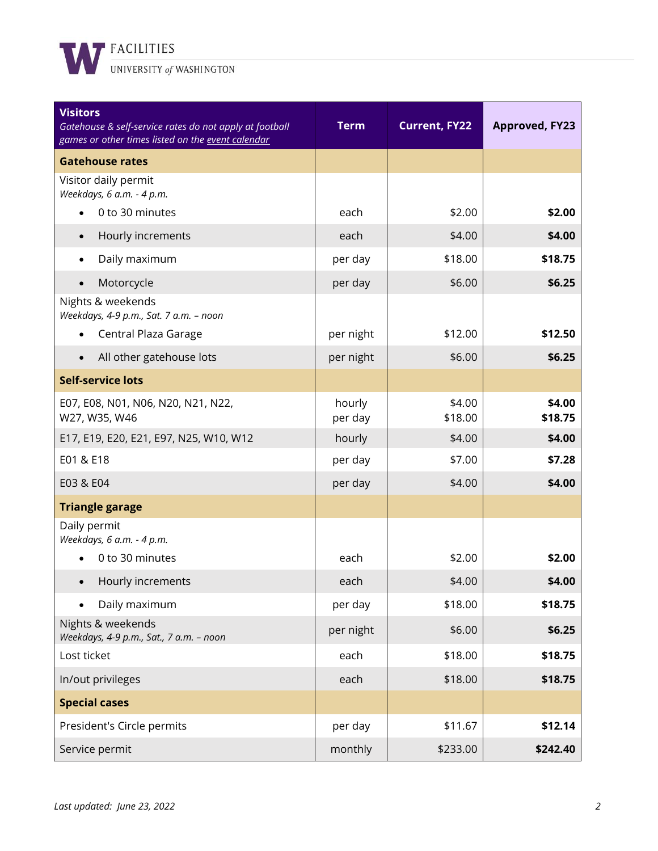

| <b>Visitors</b><br>Gatehouse & self-service rates do not apply at football<br>games or other times listed on the event calendar | <b>Term</b>       | <b>Current, FY22</b> | <b>Approved, FY23</b> |
|---------------------------------------------------------------------------------------------------------------------------------|-------------------|----------------------|-----------------------|
| <b>Gatehouse rates</b>                                                                                                          |                   |                      |                       |
| Visitor daily permit<br>Weekdays, 6 a.m. - 4 p.m.                                                                               |                   |                      |                       |
| 0 to 30 minutes                                                                                                                 | each              | \$2.00               | \$2.00                |
| Hourly increments<br>$\bullet$                                                                                                  | each              | \$4.00               | \$4.00                |
| Daily maximum                                                                                                                   | per day           | \$18.00              | \$18.75               |
| Motorcycle<br>$\bullet$                                                                                                         | per day           | \$6.00               | \$6.25                |
| Nights & weekends<br>Weekdays, 4-9 p.m., Sat. 7 a.m. - noon<br>Central Plaza Garage                                             |                   | \$12.00              | \$12.50               |
|                                                                                                                                 | per night         |                      |                       |
| All other gatehouse lots<br>$\bullet$                                                                                           | per night         | \$6.00               | \$6.25                |
| <b>Self-service lots</b>                                                                                                        |                   |                      |                       |
| E07, E08, N01, N06, N20, N21, N22,<br>W27, W35, W46                                                                             | hourly<br>per day | \$4.00<br>\$18.00    | \$4.00<br>\$18.75     |
| E17, E19, E20, E21, E97, N25, W10, W12                                                                                          | hourly            | \$4.00               | \$4.00                |
| E01 & E18                                                                                                                       | per day           | \$7.00               | \$7.28                |
| E03 & E04                                                                                                                       | per day           | \$4.00               | \$4.00                |
| <b>Triangle garage</b>                                                                                                          |                   |                      |                       |
| Daily permit<br>Weekdays, 6 a.m. - 4 p.m.                                                                                       |                   |                      |                       |
| 0 to 30 minutes                                                                                                                 | each              | \$2.00               | \$2.00                |
| Hourly increments                                                                                                               | each              | \$4.00               | \$4.00                |
| Daily maximum                                                                                                                   | per day           | \$18.00              | \$18.75               |
| Nights & weekends<br>Weekdays, 4-9 p.m., Sat., 7 a.m. - noon                                                                    | per night         | \$6.00               | \$6.25                |
| Lost ticket                                                                                                                     | each              | \$18.00              | \$18.75               |
| In/out privileges                                                                                                               | each              | \$18.00              | \$18.75               |
| <b>Special cases</b>                                                                                                            |                   |                      |                       |
| President's Circle permits                                                                                                      | per day           | \$11.67              | \$12.14               |
| Service permit                                                                                                                  | monthly           | \$233.00             | \$242.40              |